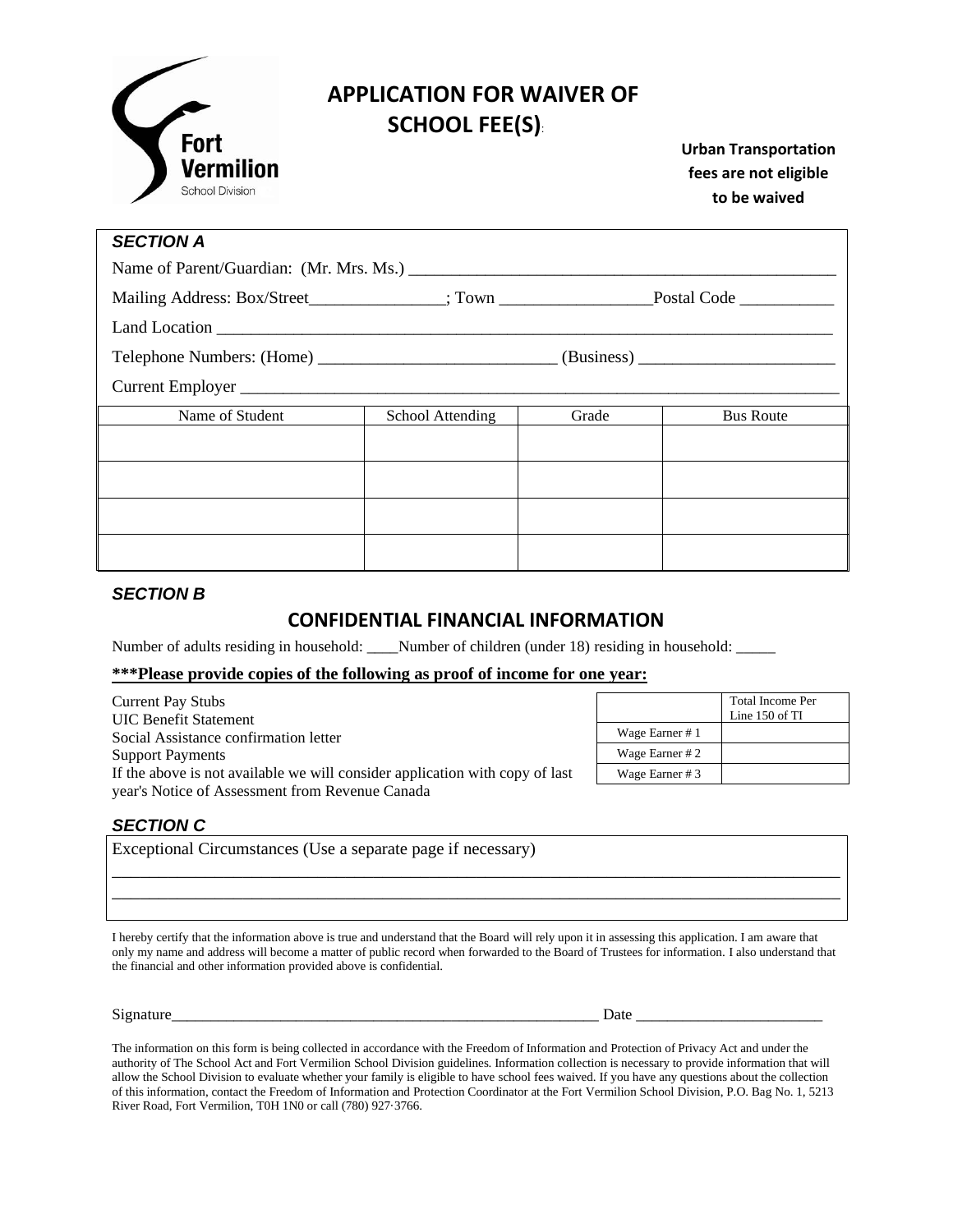

# **APPLICATION FOR WAIVER OF Fort** SCHOOL FEE(S):

**Urban Transportation fees are not eligible to be waived**

| <b>SECTION A</b>                        |                  |       |                  |  |  |
|-----------------------------------------|------------------|-------|------------------|--|--|
| Name of Parent/Guardian: (Mr. Mrs. Ms.) |                  |       |                  |  |  |
|                                         |                  |       |                  |  |  |
|                                         |                  |       |                  |  |  |
|                                         |                  |       |                  |  |  |
|                                         |                  |       |                  |  |  |
| Name of Student                         | School Attending | Grade | <b>Bus Route</b> |  |  |
|                                         |                  |       |                  |  |  |
|                                         |                  |       |                  |  |  |
|                                         |                  |       |                  |  |  |
|                                         |                  |       |                  |  |  |

#### *SECTION B*

### **CONFIDENTIAL FINANCIAL INFORMATION**

Number of adults residing in household: \_\_\_\_Number of children (under 18) residing in household: \_\_\_\_\_\_

#### **\*\*\*Please provide copies of the following as proof of income for one year:**

| <b>Current Pay Stubs</b>                                                     |                 | <b>Total Income Per</b> |
|------------------------------------------------------------------------------|-----------------|-------------------------|
| <b>UIC Benefit Statement</b>                                                 |                 | Line $150$ of TI        |
| Social Assistance confirmation letter                                        | Wage Earner #1  |                         |
| <b>Support Payments</b>                                                      | Wage Earner # 2 |                         |
| If the above is not available we will consider application with copy of last | Wage Earner #3  |                         |
| year's Notice of Assessment from Revenue Canada                              |                 |                         |

#### *SECTION C*

| Exceptional Circumstances (Use a separate page if necessary) |  |  |
|--------------------------------------------------------------|--|--|
|                                                              |  |  |

I hereby certify that the information above is true and understand that the Board will rely upon it in assessing this application. I am aware that only my name and address will become a matter of public record when forwarded to the Board of Trustees for information. I also understand that the financial and other information provided above is confidential.

\_\_\_\_\_\_\_\_\_\_\_\_\_\_\_\_\_\_\_\_\_\_\_\_\_\_\_\_\_\_\_\_\_\_\_\_\_\_\_\_\_\_\_\_\_\_\_\_\_\_\_\_\_\_\_\_\_\_\_\_\_\_\_\_\_\_\_\_\_\_\_\_\_\_\_\_\_\_ \_\_\_\_\_\_\_\_\_\_\_\_\_\_\_\_\_\_\_\_\_\_\_\_\_\_\_\_\_\_\_\_\_\_\_\_\_\_\_\_\_\_\_\_\_\_\_\_\_\_\_\_\_\_\_\_\_\_\_\_\_\_\_\_\_\_\_\_\_\_\_\_\_\_\_\_\_\_

Signature\_\_\_\_\_\_\_\_\_\_\_\_\_\_\_\_\_\_\_\_\_\_\_\_\_\_\_\_\_\_\_\_\_\_\_\_\_\_\_\_\_\_\_\_\_\_\_\_\_\_\_\_\_\_\_ Date \_\_\_\_\_\_\_\_\_\_\_\_\_\_\_\_\_\_\_\_\_\_\_\_

The information on this form is being collected in accordance with the Freedom of Information and Protection of Privacy Act and under the authority of The School Act and Fort Vermilion School Division guidelines. Information collection is necessary to provide information that will allow the School Division to evaluate whether your family is eligible to have school fees waived. If you have any questions about the collection of this information, contact the Freedom of Information and Protection Coordinator at the Fort Vermilion School Division, P.O. Bag No. 1, 5213 River Road, Fort Vermilion, T0H 1N0 or call (780) 927·3766.